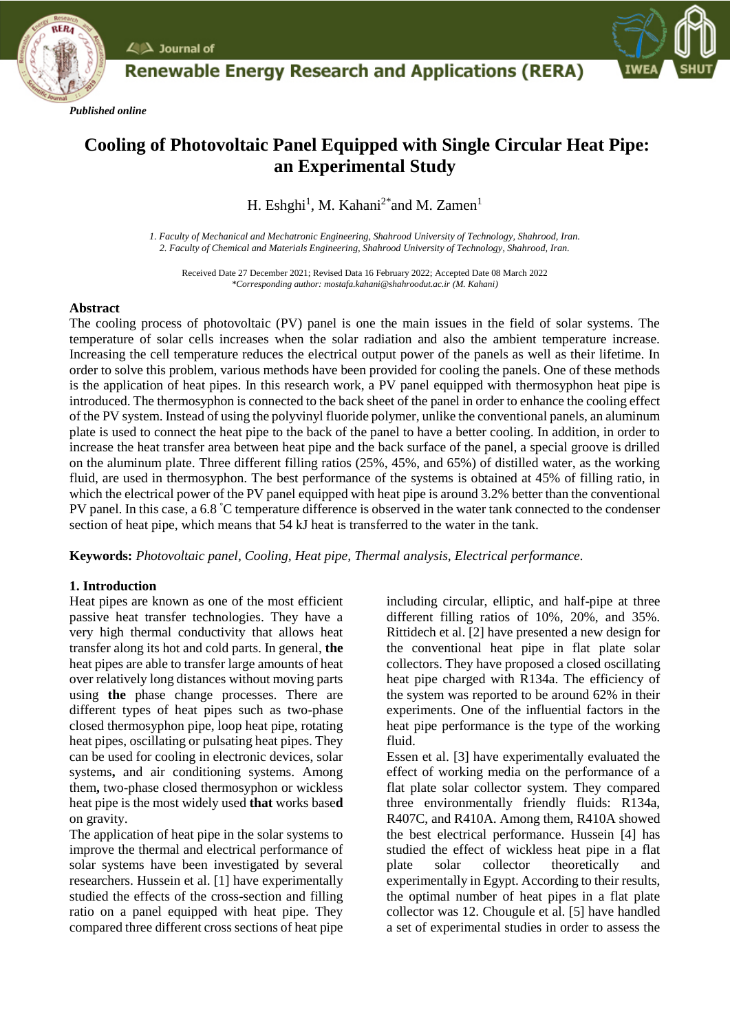

# **Renewable Energy Research and Applications (RERA)**

## **Cooling of Photovoltaic Panel Equipped with Single Circular Heat Pipe: an Experimental Study**

H. Eshghi<sup>1</sup>, M. Kahani<sup>2\*</sup>and M. Zamen<sup>1</sup>

*1. Faculty of Mechanical and Mechatronic Engineering, Shahrood University of Technology, Shahrood, Iran. 2. Faculty of Chemical and Materials Engineering, Shahrood University of Technology, Shahrood, Iran.*

Received Date 27 December 2021; Revised Data 16 February 2022; Accepted Date 08 March 2022 *\*Corresponding author: mostafa.kahani@shahroodut.ac.ir (M. Kahani)*

### **Abstract**

*Published online*

 $\angle$   $\triangle$  Journal of

The cooling process of photovoltaic (PV) panel is one the main issues in the field of solar systems. The temperature of solar cells increases when the solar radiation and also the ambient temperature increase. Increasing the cell temperature reduces the electrical output power of the panels as well as their lifetime. In order to solve this problem, various methods have been provided for cooling the panels. One of these methods is the application of heat pipes. In this research work, a PV panel equipped with thermosyphon heat pipe is introduced. The thermosyphon is connected to the back sheet of the panel in order to enhance the cooling effect of the PV system. Instead of using the polyvinyl fluoride polymer, unlike the conventional panels, an aluminum plate is used to connect the heat pipe to the back of the panel to have a better cooling. In addition, in order to increase the heat transfer area between heat pipe and the back surface of the panel, a special groove is drilled on the aluminum plate. Three different filling ratios (25%, 45%, and 65%) of distilled water, as the working fluid, are used in thermosyphon. The best performance of the systems is obtained at 45% of filling ratio, in which the electrical power of the PV panel equipped with heat pipe is around 3.2% better than the conventional PV panel. In this case, a 6.8 °C temperature difference is observed in the water tank connected to the condenser section of heat pipe, which means that 54 kJ heat is transferred to the water in the tank.

**Keywords:** *Photovoltaic panel, Cooling, Heat pipe, Thermal analysis, Electrical performance.*

### **1. Introduction**

Heat pipes are known as one of the most efficient passive heat transfer technologies. They have a very high thermal conductivity that allows heat transfer along its hot and cold parts. In general, **the**  heat pipes are able to transfer large amounts of heat over relatively long distances without moving parts using **the** phase change processes. There are different types of heat pipes such as two**-**phase closed thermosyphon pipe, loop heat pipe, rotating heat pipes, oscillating or pulsating heat pipes. They can be used for cooling in electronic devices, solar systems**,** and air conditioning systems. Among them**,** two**-**phase closed thermosyphon or wickless heat pipe is the most widely used **that** works base**d** on gravity.

The application of heat pipe in the solar systems to improve the thermal and electrical performance of solar systems have been investigated by several researchers. Hussein et al. [1] have experimentally studied the effects of the cross-section and filling ratio on a panel equipped with heat pipe. They compared three different cross sections of heat pipe

including circular, elliptic, and half-pipe at three different filling ratios of 10%, 20%, and 35%. Rittidech et al. [2] have presented a new design for the conventional heat pipe in flat plate solar collectors. They have proposed a closed oscillating heat pipe charged with R134a. The efficiency of the system was reported to be around 62% in their experiments. One of the influential factors in the heat pipe performance is the type of the working fluid.

Essen et al. [3] have experimentally evaluated the effect of working media on the performance of a flat plate solar collector system. They compared three environmentally friendly fluids: R134a, R407C, and R410A. Among them, R410A showed the best electrical performance. Hussein [4] has studied the effect of wickless heat pipe in a flat plate solar collector theoretically and experimentally in Egypt. According to their results, the optimal number of heat pipes in a flat plate collector was 12. Chougule et al. [5] have handled a set of experimental studies in order to assess the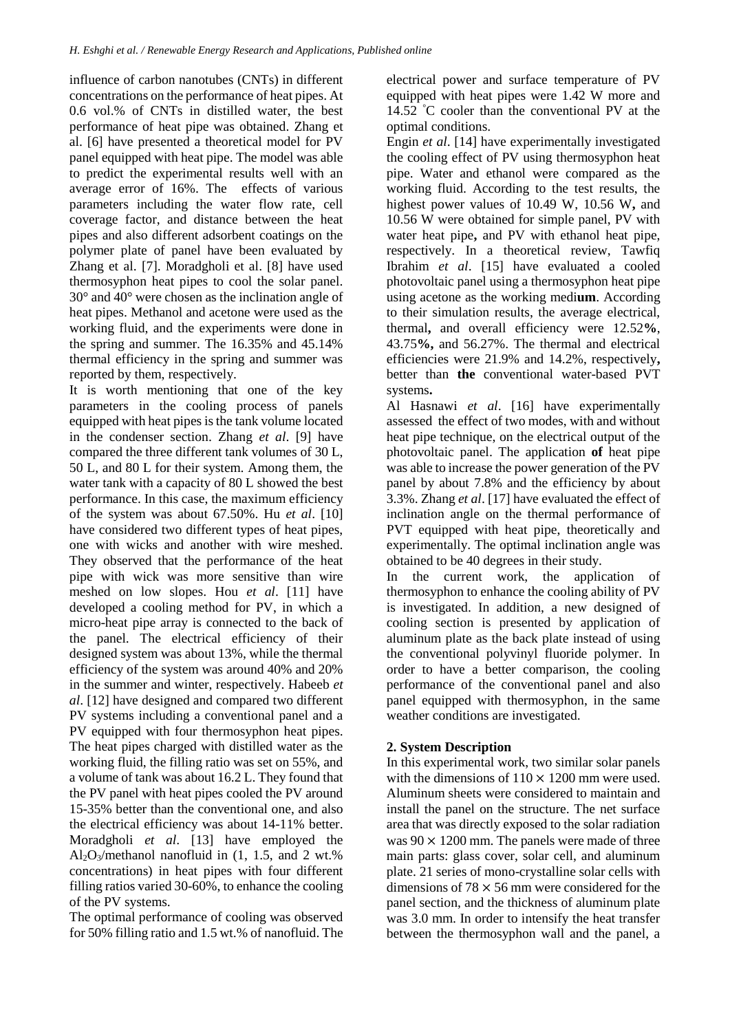influence of carbon nanotubes (CNTs) in different concentrations on the performance of heat pipes. At 0.6 vol.% of CNTs in distilled water, the best performance of heat pipe was obtained. Zhang et al. [6] have presented a theoretical model for PV panel equipped with heat pipe. The model was able to predict the experimental results well with an average error of 16%. The effects of various parameters including the water flow rate, cell coverage factor, and distance between the heat pipes and also different adsorbent coatings on the polymer plate of panel have been evaluated by Zhang et al. [7]. Moradgholi et al. [8] have used thermosyphon heat pipes to cool the solar panel. 30° and 40° were chosen as the inclination angle of heat pipes. Methanol and acetone were used as the working fluid, and the experiments were done in the spring and summer. The 16.35% and 45.14% thermal efficiency in the spring and summer was reported by them, respectively.

It is worth mentioning that one of the key parameters in the cooling process of panels equipped with heat pipes is the tank volume located in the condenser section. Zhang *et al*. [9] have compared the three different tank volumes of 30 L, 50 L, and 80 L for their system. Among them, the water tank with a capacity of 80 L showed the best performance. In this case, the maximum efficiency of the system was about 67.50%. Hu *et al*. [10] have considered two different types of heat pipes, one with wicks and another with wire meshed. They observed that the performance of the heat pipe with wick was more sensitive than wire meshed on low slopes. Hou *et al*. [11] have developed a cooling method for PV, in which a micro-heat pipe array is connected to the back of the panel. The electrical efficiency of their designed system was about 13%, while the thermal efficiency of the system was around 40% and 20% in the summer and winter, respectively. Habeeb *et al*. [12] have designed and compared two different PV systems including a conventional panel and a PV equipped with four thermosyphon heat pipes. The heat pipes charged with distilled water as the working fluid, the filling ratio was set on 55%, and a volume of tank was about 16.2 L. They found that the PV panel with heat pipes cooled the PV around 15-35% better than the conventional one, and also the electrical efficiency was about 14-11% better. Moradgholi *et al*. [13] have employed the  $Al_2O_3/methanol$  nanofluid in (1, 1.5, and 2 wt.%) concentrations) in heat pipes with four different filling ratios varied 30-60%, to enhance the cooling of the PV systems.

The optimal performance of cooling was observed for 50% filling ratio and 1.5 wt.% of nanofluid. The

electrical power and surface temperature of PV equipped with heat pipes were 1.42 W more and 14.52 °C cooler than the conventional PV at the optimal conditions.

Engin *et al*. [14] have experimentally investigated the cooling effect of PV using thermosyphon heat pipe. Water and ethanol were compared as the working fluid. According to the test results, the highest power values of 10.49 W, 10.56 W**,** and 10.56 W were obtained for simple panel, PV with water heat pipe**,** and PV with ethanol heat pipe, respectively. In a theoretical review, Tawfiq Ibrahim *et al*. [15] have evaluated a cooled photovoltaic panel using a thermosyphon heat pipe using acetone as the working medi**um**. According to their simulation results, the average electrical, thermal**,** and overall efficiency were 12.52**%**, 43.75**%,** and 56.27%. The thermal and electrical efficiencies were 21.9% and 14.2%, respectively**,** better than **the** conventional water-based PVT systems**.**

Al Hasnawi *et al*. [16] have experimentally assessed the effect of two modes, with and without heat pipe technique, on the electrical output of the photovoltaic panel. The application **of** heat pipe was able to increase the power generation of the PV panel by about 7.8% and the efficiency by about 3.3%. Zhang *et al*. [17] have evaluated the effect of inclination angle on the thermal performance of PVT equipped with heat pipe, theoretically and experimentally. The optimal inclination angle was obtained to be 40 degrees in their study.

In the current work, the application of thermosyphon to enhance the cooling ability of PV is investigated. In addition, a new designed of cooling section is presented by application of aluminum plate as the back plate instead of using the conventional polyvinyl fluoride polymer. In order to have a better comparison, the cooling performance of the conventional panel and also panel equipped with thermosyphon, in the same weather conditions are investigated.

### **2. System Description**

In this experimental work, two similar solar panels with the dimensions of  $110 \times 1200$  mm were used. Aluminum sheets were considered to maintain and install the panel on the structure. The net surface area that was directly exposed to the solar radiation was  $90 \times 1200$  mm. The panels were made of three main parts: glass cover, solar cell, and aluminum plate. 21 series of mono-crystalline solar cells with dimensions of  $78 \times 56$  mm were considered for the panel section, and the thickness of aluminum plate was 3.0 mm. In order to intensify the heat transfer between the thermosyphon wall and the panel, a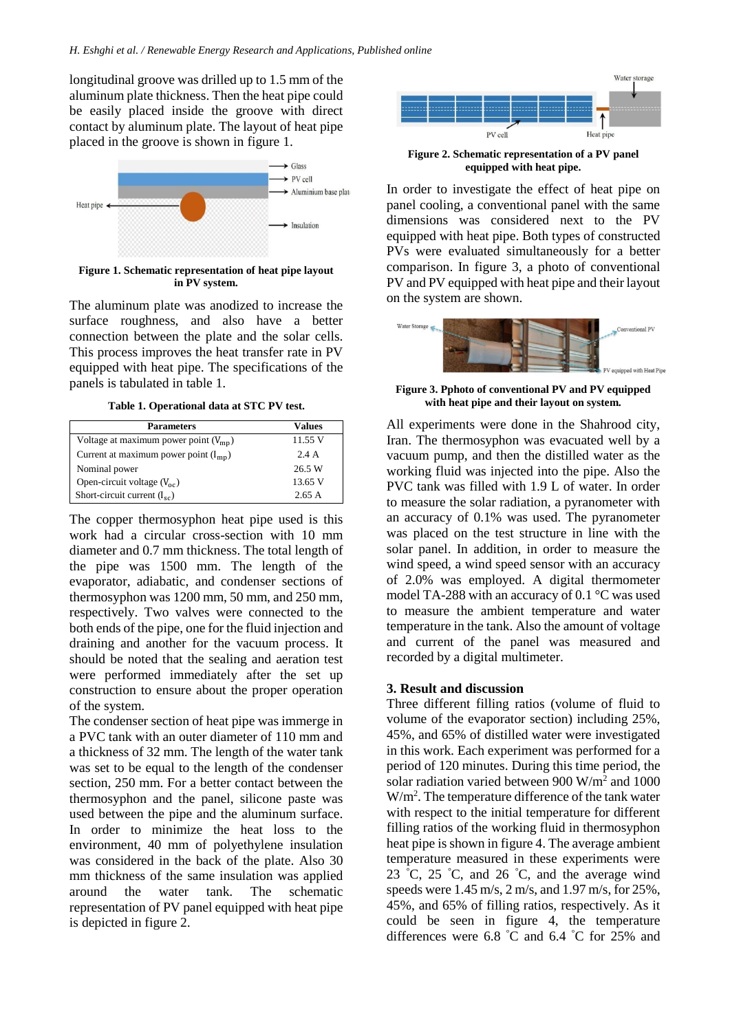longitudinal groove was drilled up to 1.5 mm of the aluminum plate thickness. Then the heat pipe could be easily placed inside the groove with direct contact by aluminum plate. The layout of heat pipe placed in the groove is shown in figure 1.



**Figure 1. Schematic representation of heat pipe layout in PV system.**

The aluminum plate was anodized to increase the surface roughness, and also have a better connection between the plate and the solar cells. This process improves the heat transfer rate in PV equipped with heat pipe. The specifications of the panels is tabulated in table 1.

**Table 1. Operational data at STC PV test.**

| <b>Parameters</b>                         | Values  |
|-------------------------------------------|---------|
| Voltage at maximum power point $(V_{mp})$ | 11.55 V |
| Current at maximum power point $(I_{mn})$ | 2.4A    |
| Nominal power                             | 26.5 W  |
| Open-circuit voltage $(V_{\text{oc}})$    | 13.65 V |
| Short-circuit current $(I_{sc})$          | 2.65 A  |

The copper thermosyphon heat pipe used is this work had a circular cross-section with 10 mm diameter and 0.7 mm thickness. The total length of the pipe was 1500 mm. The length of the evaporator, adiabatic, and condenser sections of thermosyphon was 1200 mm, 50 mm, and 250 mm, respectively. Two valves were connected to the both ends of the pipe, one for the fluid injection and draining and another for the vacuum process. It should be noted that the sealing and aeration test were performed immediately after the set up construction to ensure about the proper operation of the system.

The condenser section of heat pipe was immerge in a PVC tank with an outer diameter of 110 mm and a thickness of 32 mm. The length of the water tank was set to be equal to the length of the condenser section, 250 mm. For a better contact between the thermosyphon and the panel, silicone paste was used between the pipe and the aluminum surface. In order to minimize the heat loss to the environment, 40 mm of polyethylene insulation was considered in the back of the plate. Also 30 mm thickness of the same insulation was applied around the water tank. The schematic representation of PV panel equipped with heat pipe is depicted in figure 2.



**Figure 2. Schematic representation of a PV panel equipped with heat pipe.**

In order to investigate the effect of heat pipe on panel cooling, a conventional panel with the same dimensions was considered next to the PV equipped with heat pipe. Both types of constructed PVs were evaluated simultaneously for a better comparison. In figure 3, a photo of conventional PV and PV equipped with heat pipe and their layout on the system are shown.



**Figure 3. Pphoto of conventional PV and PV equipped with heat pipe and their layout on system.**

All experiments were done in the Shahrood city, Iran. The thermosyphon was evacuated well by a vacuum pump, and then the distilled water as the working fluid was injected into the pipe. Also the PVC tank was filled with 1.9 L of water. In order to measure the solar radiation, a pyranometer with an accuracy of 0.1% was used. The pyranometer was placed on the test structure in line with the solar panel. In addition, in order to measure the wind speed, a wind speed sensor with an accuracy of 2.0% was employed. A digital thermometer model TA-288 with an accuracy of 0.1 °C was used to measure the ambient temperature and water temperature in the tank. Also the amount of voltage and current of the panel was measured and recorded by a digital multimeter.

### **3. Result and discussion**

Three different filling ratios (volume of fluid to volume of the evaporator section) including 25%, 45%, and 65% of distilled water were investigated in this work. Each experiment was performed for a period of 120 minutes. During this time period, the solar radiation varied between 900 W/m<sup>2</sup> and 1000 W/m<sup>2</sup>. The temperature difference of the tank water with respect to the initial temperature for different filling ratios of the working fluid in thermosyphon heat pipe is shown in figure 4. The average ambient temperature measured in these experiments were 23 °C, 25 °C, and 26 °C, and the average wind speeds were 1.45 m/s, 2 m/s, and 1.97 m/s, for 25%, 45%, and 65% of filling ratios, respectively. As it could be seen in figure 4, the temperature differences were 6.8 °C and 6.4 °C for 25% and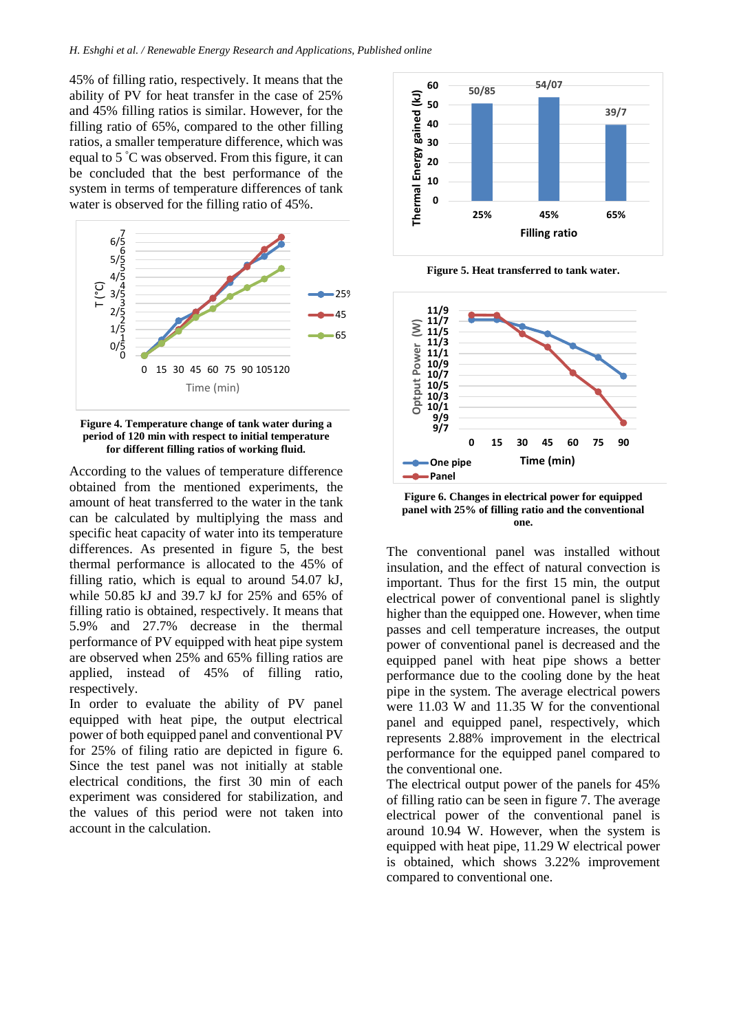45% of filling ratio, respectively. It means that the ability of PV for heat transfer in the case of 25% and 45% filling ratios is similar. However, for the filling ratio of 65%, compared to the other filling ratios, a smaller temperature difference, which was equal to 5 °C was observed. From this figure, it can be concluded that the best performance of the system in terms of temperature differences of tank water is observed for the filling ratio of 45%.



**Figure 4. Temperature change of tank water during a period of 120 min with respect to initial temperature for different filling ratios of working fluid.**

According to the values of temperature difference obtained from the mentioned experiments, the amount of heat transferred to the water in the tank can be calculated by multiplying the mass and specific heat capacity of water into its temperature differences. As presented in figure 5, the best thermal performance is allocated to the 45% of filling ratio, which is equal to around 54.07 kJ, while 50.85 kJ and 39.7 kJ for 25% and 65% of filling ratio is obtained, respectively. It means that 5.9% and 27.7% decrease in the thermal performance of PV equipped with heat pipe system are observed when 25% and 65% filling ratios are applied, instead of 45% of filling ratio, respectively.

In order to evaluate the ability of PV panel equipped with heat pipe, the output electrical power of both equipped panel and conventional PV for 25% of filing ratio are depicted in figure 6. Since the test panel was not initially at stable electrical conditions, the first 30 min of each experiment was considered for stabilization, and the values of this period were not taken into account in the calculation.



**Figure 5. Heat transferred to tank water.**



**Figure 6. Changes in electrical power for equipped panel with 25% of filling ratio and the conventional one.**

The conventional panel was installed without insulation, and the effect of natural convection is important. Thus for the first 15 min, the output electrical power of conventional panel is slightly higher than the equipped one. However, when time passes and cell temperature increases, the output power of conventional panel is decreased and the equipped panel with heat pipe shows a better performance due to the cooling done by the heat pipe in the system. The average electrical powers were 11.03 W and 11.35 W for the conventional panel and equipped panel, respectively, which represents 2.88% improvement in the electrical performance for the equipped panel compared to the conventional one.

The electrical output power of the panels for 45% of filling ratio can be seen in figure 7. The average electrical power of the conventional panel is around 10.94 W. However, when the system is equipped with heat pipe, 11.29 W electrical power is obtained, which shows 3.22% improvement compared to conventional one.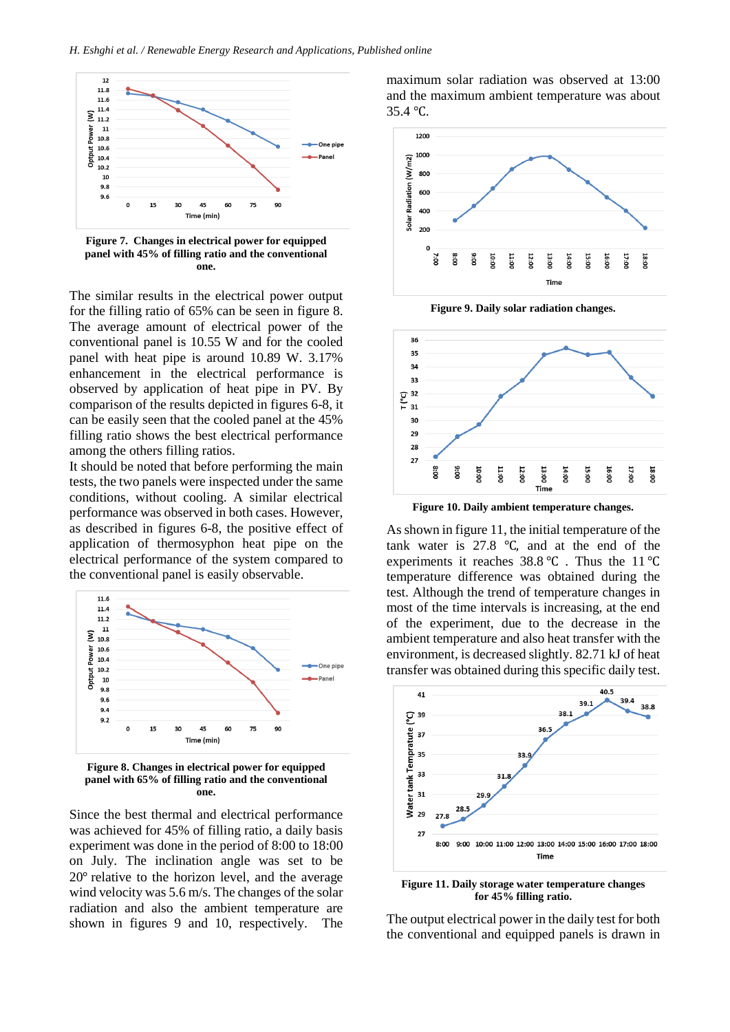

**Figure 7. Changes in electrical power for equipped panel with 45% of filling ratio and the conventional one.**

The similar results in the electrical power output for the filling ratio of 65% can be seen in figure 8. The average amount of electrical power of the conventional panel is 10.55 W and for the cooled panel with heat pipe is around 10.89 W. 3.17% enhancement in the electrical performance is observed by application of heat pipe in PV. By comparison of the results depicted in figures 6-8, it can be easily seen that the cooled panel at the 45% filling ratio shows the best electrical performance among the others filling ratios.

It should be noted that before performing the main tests, the two panels were inspected under the same conditions, without cooling. A similar electrical performance was observed in both cases. However, as described in figures 6-8, the positive effect of application of thermosyphon heat pipe on the electrical performance of the system compared to the conventional panel is easily observable.



**Figure 8. Changes in electrical power for equipped panel with 65% of filling ratio and the conventional one.**

Since the best thermal and electrical performance was achieved for 45% of filling ratio, a daily basis experiment was done in the period of 8:00 to 18:00 on July. The inclination angle was set to be 20° relative to the horizon level, and the average wind velocity was 5.6 m/s. The changes of the solar radiation and also the ambient temperature are shown in figures 9 and 10, respectively. The maximum solar radiation was observed at 13:00 and the maximum ambient temperature was about 35.4 ℃.



**Figure 9. Daily solar radiation changes.**



**Figure 10. Daily ambient temperature changes.**

As shown in figure 11, the initial temperature of the tank water is 27.8 ℃, and at the end of the experiments it reaches 38.8 ℃ . Thus the 11 ℃ temperature difference was obtained during the test. Although the trend of temperature changes in most of the time intervals is increasing, at the end of the experiment, due to the decrease in the ambient temperature and also heat transfer with the environment, is decreased slightly. 82.71 kJ of heat transfer was obtained during this specific daily test.



**Figure 11. Daily storage water temperature changes for 45% filling ratio.**

The output electrical power in the daily test for both the conventional and equipped panels is drawn in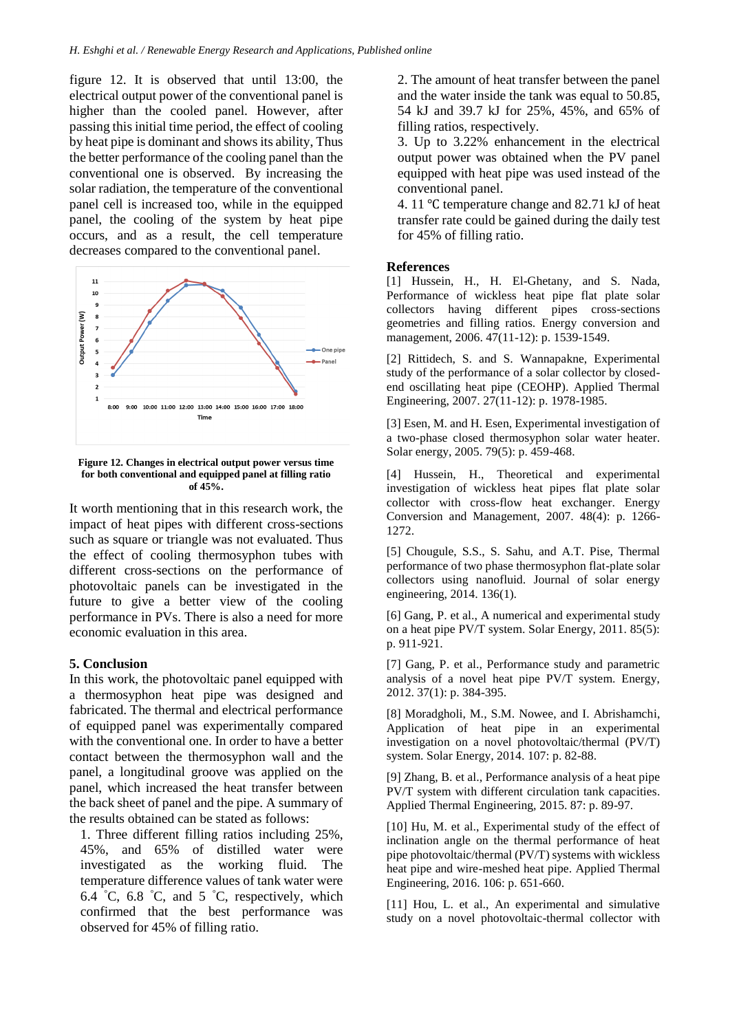figure 12. It is observed that until 13:00, the electrical output power of the conventional panel is higher than the cooled panel. However, after passing this initial time period, the effect of cooling by heat pipe is dominant and shows its ability, Thus the better performance of the cooling panel than the conventional one is observed. By increasing the solar radiation, the temperature of the conventional panel cell is increased too, while in the equipped panel, the cooling of the system by heat pipe occurs, and as a result, the cell temperature decreases compared to the conventional panel.



**Figure 12. Changes in electrical output power versus time for both conventional and equipped panel at filling ratio of 45%.**

It worth mentioning that in this research work, the impact of heat pipes with different cross-sections such as square or triangle was not evaluated. Thus the effect of cooling thermosyphon tubes with different cross-sections on the performance of photovoltaic panels can be investigated in the future to give a better view of the cooling performance in PVs. There is also a need for more economic evaluation in this area.

#### **5. Conclusion**

In this work, the photovoltaic panel equipped with a thermosyphon heat pipe was designed and fabricated. The thermal and electrical performance of equipped panel was experimentally compared with the conventional one. In order to have a better contact between the thermosyphon wall and the panel, a longitudinal groove was applied on the panel, which increased the heat transfer between the back sheet of panel and the pipe. A summary of the results obtained can be stated as follows:

1. Three different filling ratios including 25%, 45%, and 65% of distilled water were investigated as the working fluid. The temperature difference values of tank water were 6.4 °C, 6.8 °C, and 5 °C, respectively, which confirmed that the best performance was observed for 45% of filling ratio.

2. The amount of heat transfer between the panel and the water inside the tank was equal to 50.85, 54 kJ and 39.7 kJ for 25%, 45%, and 65% of filling ratios, respectively.

3. Up to 3.22% enhancement in the electrical output power was obtained when the PV panel equipped with heat pipe was used instead of the conventional panel.

4. 11 ℃ temperature change and 82.71 kJ of heat transfer rate could be gained during the daily test for 45% of filling ratio.

#### **References**

[1] Hussein, H., H. El-Ghetany, and S. Nada, Performance of wickless heat pipe flat plate solar collectors having different pipes cross-sections geometries and filling ratios. Energy conversion and management, 2006. 47(11-12): p. 1539-1549.

[2] Rittidech, S. and S. Wannapakne, Experimental study of the performance of a solar collector by closedend oscillating heat pipe (CEOHP). Applied Thermal Engineering, 2007. 27(11-12): p. 1978-1985.

[3] Esen, M. and H. Esen, Experimental investigation of a two-phase closed thermosyphon solar water heater. Solar energy, 2005. 79(5): p. 459-468.

[4] Hussein, H., Theoretical and experimental investigation of wickless heat pipes flat plate solar collector with cross-flow heat exchanger. Energy Conversion and Management, 2007. 48(4): p. 1266- 1272.

[5] Chougule, S.S., S. Sahu, and A.T. Pise, Thermal performance of two phase thermosyphon flat-plate solar collectors using nanofluid. Journal of solar energy engineering, 2014. 136(1).

[6] Gang, P. et al., A numerical and experimental study on a heat pipe PV/T system. Solar Energy, 2011. 85(5): p. 911-921.

[7] Gang, P. et al., Performance study and parametric analysis of a novel heat pipe PV/T system. Energy, 2012. 37(1): p. 384-395.

[8] Moradgholi, M., S.M. Nowee, and I. Abrishamchi, Application of heat pipe in an experimental investigation on a novel photovoltaic/thermal (PV/T) system. Solar Energy, 2014. 107: p. 82-88.

[9] Zhang, B. et al., Performance analysis of a heat pipe PV/T system with different circulation tank capacities. Applied Thermal Engineering, 2015. 87: p. 89-97.

[10] Hu, M. et al., Experimental study of the effect of inclination angle on the thermal performance of heat pipe photovoltaic/thermal (PV/T) systems with wickless heat pipe and wire-meshed heat pipe. Applied Thermal Engineering, 2016. 106: p. 651-660.

[11] Hou, L. et al., An experimental and simulative study on a novel photovoltaic-thermal collector with